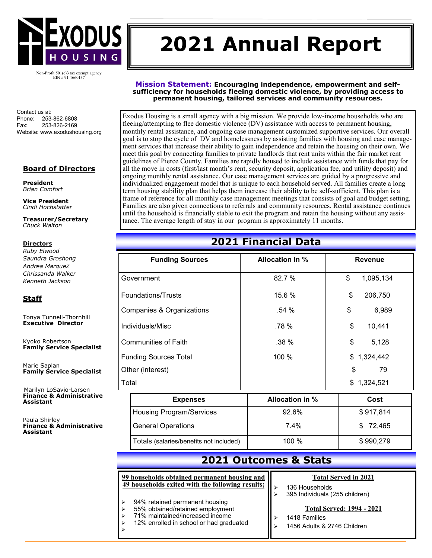

# **2021 Annual Report**

Non-Profit 501(c)3 tax exempt agency EIN #91-1660137

Contact us at: Phone: 253-862-6808 Fax: 253-826-2169 Website: www.exodushousing.org

### **Board of Directors**

**President**  *Brian Comfort*

**Vice President**  *Cindi Hochstatter* 

**Treasurer/Secretary** *Chuck Walton* 

### **Directors**

*Ruby Elwood Saundra Groshong Andrea Marquez Chrissanda Walker Kenneth Jackson*

### **Staff**

Tonya Tunnell-Thornhill **Executive Director**

Kyoko Robertson **Family Service Specialist**

Marie Saplan **Family Service Specialist**

**Marilyn LoSavio-Larsen Finance & Administrative Assistant**

Paula Shirley **Finance & Administrative Assistant**

**Mission Statement: Encouraging independence, empowerment and selfsufficiency for households fleeing domestic violence, by providing access to permanent housing, tailored services and community resources.**

Exodus Housing is a small agency with a big mission. We provide low-income households who are fleeing/attempting to flee domestic violence (DV) assistance with access to permanent housing, monthly rental assistance, and ongoing case management customized supportive services. Our overall goal is to stop the cycle of DV and homelessness by assisting families with housing and case management services that increase their ability to gain independence and retain the housing on their own. We meet this goal by connecting families to private landlords that rent units within the fair market rent guidelines of Pierce County. Families are rapidly housed to include assistance with funds that pay for all the move in costs (first/last month's rent, security deposit, application fee, and utility deposit) and ongoing monthly rental assistance. Our case management services are guided by a progressive and individualized engagement model that is unique to each household served. All families create a long term housing stability plan that helps them increase their ability to be self-sufficient. This plan is a frame of reference for all monthly case management meetings that consists of goal and budget setting. Families are also given connections to referrals and community resources. Rental assistance continues until the household is financially stable to exit the program and retain the housing without any assistance. The average length of stay in our program is approximately 11 months.

# **2021 Financial Data**

| <b>Funding Sources</b>               | <b>Allocation in %</b> | <b>Revenue</b>  |
|--------------------------------------|------------------------|-----------------|
| Government                           | 82.7 %                 | \$<br>1,095,134 |
| Foundations/Trusts                   | 15.6 %                 | \$<br>206,750   |
| <b>Companies &amp; Organizations</b> | .54%                   | \$<br>6,989     |
| Individuals/Misc                     | .78 %                  | \$<br>10,441    |
| <b>Communities of Faith</b>          | $.38\%$                | \$<br>5,128     |
| <b>Funding Sources Total</b>         | 100 %                  | \$1,324,442     |
| Other (interest)                     |                        | \$<br>79        |
| Total                                |                        | \$1,324,521     |

| <b>Expenses</b>                         | <b>Allocation in %</b> | Cost      |
|-----------------------------------------|------------------------|-----------|
| <b>Housing Program/Services</b>         | 92.6%                  | \$917,814 |
| <b>General Operations</b>               | $7.4\%$                | \$72,465  |
| Totals (salaries/benefits not included) | 100 $%$                | \$990,279 |

## **2021 Outcomes & Stats**

#### **99 households obtained permanent housing and 49 households exited with the following results;**

- 
- ➢ 94% retained permanent housing
- ➢ 55% obtained/retained employment
- ➢ 71% maintained/increased income

➢

➢ 12% enrolled in school or had graduated

## **Total Served in 2021**

- ➢ 136 Households
- ➢ 395 Individuals (255 children)

#### **Total Served: 1994 - 2021**

- ➢ 1418 Families
- ➢ 1456 Adults & 2746 Children